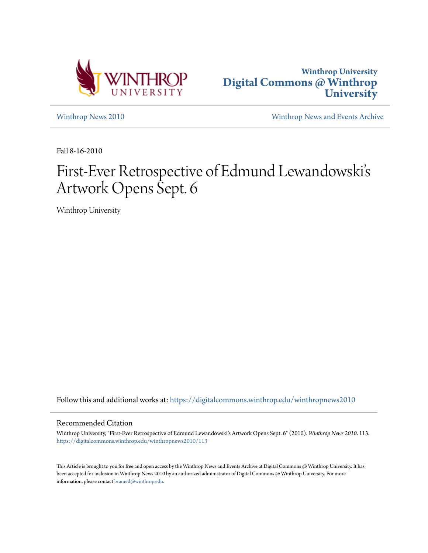



[Winthrop News 2010](https://digitalcommons.winthrop.edu/winthropnews2010?utm_source=digitalcommons.winthrop.edu%2Fwinthropnews2010%2F113&utm_medium=PDF&utm_campaign=PDFCoverPages) [Winthrop News and Events Archive](https://digitalcommons.winthrop.edu/winthropnewsarchives?utm_source=digitalcommons.winthrop.edu%2Fwinthropnews2010%2F113&utm_medium=PDF&utm_campaign=PDFCoverPages)

Fall 8-16-2010

# First-Ever Retrospective of Edmund Lewandowski' s Artwork Opens Sept. 6

Winthrop University

Follow this and additional works at: [https://digitalcommons.winthrop.edu/winthropnews2010](https://digitalcommons.winthrop.edu/winthropnews2010?utm_source=digitalcommons.winthrop.edu%2Fwinthropnews2010%2F113&utm_medium=PDF&utm_campaign=PDFCoverPages)

### Recommended Citation

Winthrop University, "First-Ever Retrospective of Edmund Lewandowski's Artwork Opens Sept. 6" (2010). *Winthrop News 2010*. 113. [https://digitalcommons.winthrop.edu/winthropnews2010/113](https://digitalcommons.winthrop.edu/winthropnews2010/113?utm_source=digitalcommons.winthrop.edu%2Fwinthropnews2010%2F113&utm_medium=PDF&utm_campaign=PDFCoverPages)

This Article is brought to you for free and open access by the Winthrop News and Events Archive at Digital Commons @ Winthrop University. It has been accepted for inclusion in Winthrop News 2010 by an authorized administrator of Digital Commons @ Winthrop University. For more information, please contact [bramed@winthrop.edu](mailto:bramed@winthrop.edu).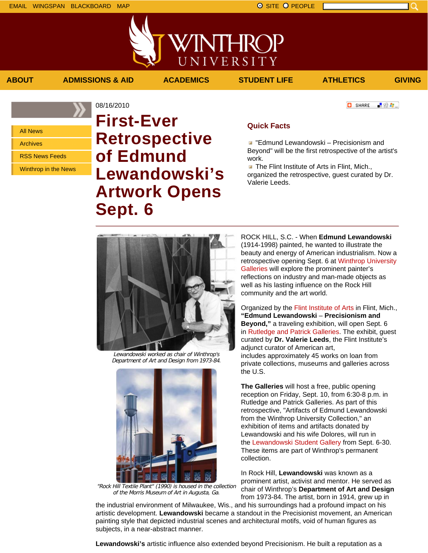「验費」

**C** SHARE

All News

Archives

RSS News Feeds

Winthrop in the News

## 08/16/2010 **First-Ever Retrospective of Edmund Lewandowski's Artwork Opens Sept. 6**

### **Quick Facts**

**ABOUT ADMISSIONS & AID ACADEMICS STUDENT LIFE ATHLETICS GIVING**

VINTHROP

UNIVERSITY

**E** "Edmund Lewandowski – Precisionism and Beyond" will be the first retrospective of the artist's work.

**The Flint Institute of Arts in Flint, Mich.,** organized the retrospective, guest curated by Dr. Valerie Leeds.



Lewandowski worked as chair of Winthrop's Department of Art and Design from 1973-84.



"Rock Hill Textile Plant" (1990) is housed in the collection of the Morris Museum of Art in Augusta, Ga.

ROCK HILL, S.C. - When **Edmund Lewandowski** (1914-1998) painted, he wanted to illustrate the beauty and energy of American industrialism. Now a retrospective opening Sept. 6 at Winthrop University Galleries will explore the prominent painter's reflections on industry and man-made objects as well as his lasting influence on the Rock Hill community and the art world.

Organized by the Flint Institute of Arts in Flint, Mich., **"Edmund Lewandowski** – **Precisionism and Beyond,"** a traveling exhibition, will open Sept. 6 in Rutledge and Patrick Galleries. The exhibit, guest curated by **Dr. Valerie Leeds**, the Flint Institute's adjunct curator of American art, includes approximately 45 works on loan from private collections, museums and galleries across the U.S.

**The Galleries** will host a free, public opening reception on Friday, Sept. 10, from 6:30-8 p.m. in Rutledge and Patrick Galleries. As part of this retrospective, "Artifacts of Edmund Lewandowski from the Winthrop University Collection," an exhibition of items and artifacts donated by Lewandowski and his wife Dolores, will run in the Lewandowski Student Gallery from Sept. 6-30. These items are part of Winthrop's permanent collection.

In Rock Hill, **Lewandowski** was known as a prominent artist, activist and mentor. He served as chair of Winthrop's **Department of Art and Design** from 1973-84. The artist, born in 1914, grew up in

the industrial environment of Milwaukee, Wis., and his surroundings had a profound impact on his artistic development. **Lewandowski** became a standout in the Precisionist movement, an American painting style that depicted industrial scenes and architectural motifs, void of human figures as subjects, in a near-abstract manner.

**Lewandowski's** artistic influence also extended beyond Precisionism. He built a reputation as a